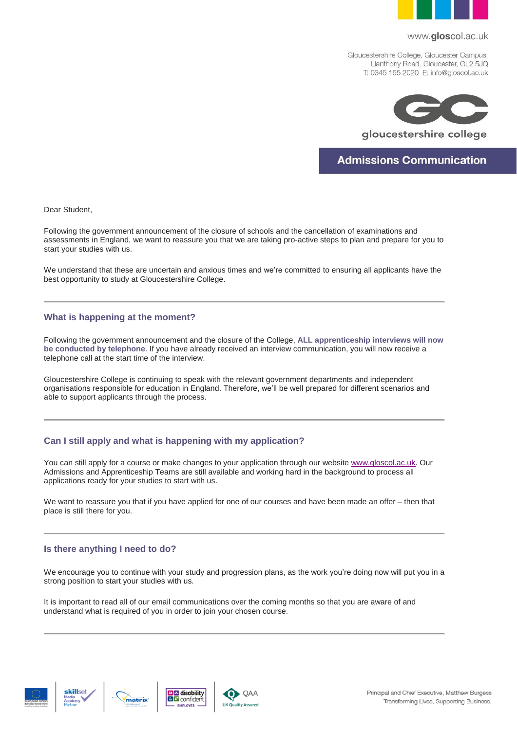

#### www.gloscol.ac.uk

Gloucestershire College, Gloucester Campus, Llanthony Road, Gloucester, GL2 5JQ T: 0345 155 2020 E: info@gloscol.ac.uk



**Admissions Communication** 

Dear Student,

Following the government announcement of the closure of schools and the cancellation of examinations and assessments in England, we want to reassure you that we are taking pro-active steps to plan and prepare for you to start your studies with us.

We understand that these are uncertain and anxious times and we're committed to ensuring all applicants have the best opportunity to study at Gloucestershire College.

### **What is happening at the moment?**

Following the government announcement and the closure of the College, **ALL apprenticeship interviews will now be conducted by telephone**. If you have already received an interview communication, you will now receive a telephone call at the start time of the interview.

Gloucestershire College is continuing to speak with the relevant government departments and independent organisations responsible for education in England. Therefore, we'll be well prepared for different scenarios and able to support applicants through the process.

# **Can I still apply and what is happening with my application?**

You can still apply for a course or make changes to your application through our website [www.gloscol.ac.uk.](http://www.gloscol.ac.uk/) Our Admissions and Apprenticeship Teams are still available and working hard in the background to process all applications ready for your studies to start with us.

We want to reassure you that if you have applied for one of our courses and have been made an offer – then that place is still there for you.

# **Is there anything I need to do?**

We encourage you to continue with your study and progression plans, as the work you're doing now will put you in a strong position to start your studies with us.

It is important to read all of our email communications over the coming months so that you are aware of and understand what is required of you in order to join your chosen course.